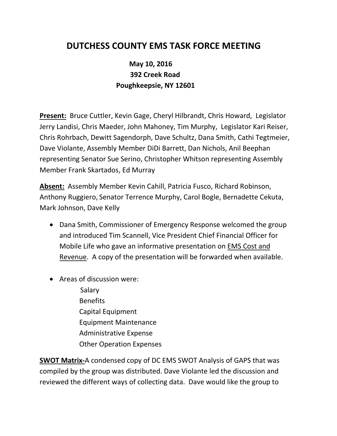## **DUTCHESS COUNTY EMS TASK FORCE MEETING**

## **May 10, 2016 392 Creek Road Poughkeepsie, NY 12601**

**Present:** Bruce Cuttler, Kevin Gage, Cheryl Hilbrandt, Chris Howard, Legislator Jerry Landisi, Chris Maeder, John Mahoney, Tim Murphy, Legislator Kari Reiser, Chris Rohrbach, Dewitt Sagendorph, Dave Schultz, Dana Smith, Cathi Tegtmeier, Dave Violante, Assembly Member DiDi Barrett, Dan Nichols, Anil Beephan representing Senator Sue Serino, Christopher Whitson representing Assembly Member Frank Skartados, Ed Murray

**Absent:** Assembly Member Kevin Cahill, Patricia Fusco, Richard Robinson, Anthony Ruggiero, Senator Terrence Murphy, Carol Bogle, Bernadette Cekuta, Mark Johnson, Dave Kelly

- Dana Smith, Commissioner of Emergency Response welcomed the group and introduced Tim Scannell, Vice President Chief Financial Officer for Mobile Life who gave an informative presentation on EMS Cost and Revenue. A copy of the presentation will be forwarded when available.
- Areas of discussion were:
	- Salary Benefits Capital Equipment Equipment Maintenance Administrative Expense Other Operation Expenses

**SWOT Matrix-**A condensed copy of DC EMS SWOT Analysis of GAPS that was compiled by the group was distributed. Dave Violante led the discussion and reviewed the different ways of collecting data. Dave would like the group to